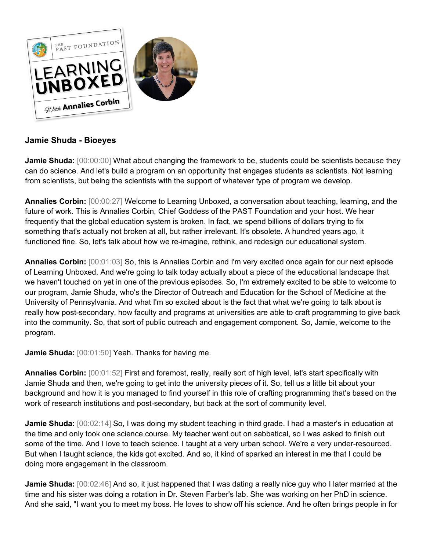

## **Jamie Shuda - Bioeyes**

**Jamie Shuda:** [00:00:00] What about changing the framework to be, students could be scientists because they can do science. And let's build a program on an opportunity that engages students as scientists. Not learning from scientists, but being the scientists with the support of whatever type of program we develop.

**Annalies Corbin:** [00:00:27] Welcome to Learning Unboxed, a conversation about teaching, learning, and the future of work. This is Annalies Corbin, Chief Goddess of the PAST Foundation and your host. We hear frequently that the global education system is broken. In fact, we spend billions of dollars trying to fix something that's actually not broken at all, but rather irrelevant. It's obsolete. A hundred years ago, it functioned fine. So, let's talk about how we re-imagine, rethink, and redesign our educational system.

**Annalies Corbin:** [00:01:03] So, this is Annalies Corbin and I'm very excited once again for our next episode of Learning Unboxed. And we're going to talk today actually about a piece of the educational landscape that we haven't touched on yet in one of the previous episodes. So, I'm extremely excited to be able to welcome to our program, Jamie Shuda, who's the Director of Outreach and Education for the School of Medicine at the University of Pennsylvania. And what I'm so excited about is the fact that what we're going to talk about is really how post-secondary, how faculty and programs at universities are able to craft programming to give back into the community. So, that sort of public outreach and engagement component. So, Jamie, welcome to the program.

**Jamie Shuda:** [00:01:50] Yeah. Thanks for having me.

**Annalies Corbin:** [00:01:52] First and foremost, really, really sort of high level, let's start specifically with Jamie Shuda and then, we're going to get into the university pieces of it. So, tell us a little bit about your background and how it is you managed to find yourself in this role of crafting programming that's based on the work of research institutions and post-secondary, but back at the sort of community level.

**Jamie Shuda:** [00:02:14] So, I was doing my student teaching in third grade. I had a master's in education at the time and only took one science course. My teacher went out on sabbatical, so I was asked to finish out some of the time. And I love to teach science. I taught at a very urban school. We're a very under-resourced. But when I taught science, the kids got excited. And so, it kind of sparked an interest in me that I could be doing more engagement in the classroom.

**Jamie Shuda:** [00:02:46] And so, it just happened that I was dating a really nice guy who I later married at the time and his sister was doing a rotation in Dr. Steven Farber's lab. She was working on her PhD in science. And she said, "I want you to meet my boss. He loves to show off his science. And he often brings people in for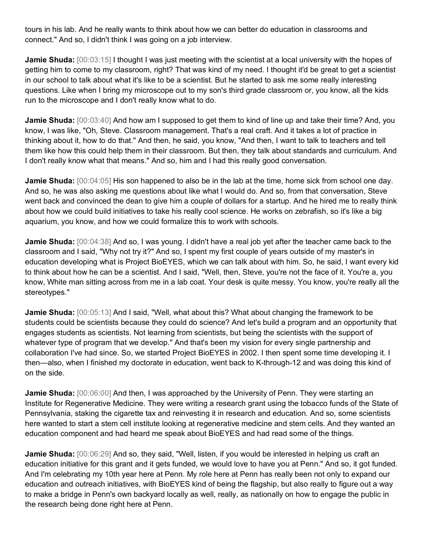tours in his lab. And he really wants to think about how we can better do education in classrooms and connect." And so, I didn't think I was going on a job interview.

**Jamie Shuda:**  $[00:03:15]$  I thought I was just meeting with the scientist at a local university with the hopes of getting him to come to my classroom, right? That was kind of my need. I thought it'd be great to get a scientist in our school to talk about what it's like to be a scientist. But he started to ask me some really interesting questions. Like when I bring my microscope out to my son's third grade classroom or, you know, all the kids run to the microscope and I don't really know what to do.

**Jamie Shuda:** [00:03:40] And how am I supposed to get them to kind of line up and take their time? And, you know, I was like, "Oh, Steve. Classroom management. That's a real craft. And it takes a lot of practice in thinking about it, how to do that." And then, he said, you know, "And then, I want to talk to teachers and tell them like how this could help them in their classroom. But then, they talk about standards and curriculum. And I don't really know what that means." And so, him and I had this really good conversation.

**Jamie Shuda:** [00:04:05] His son happened to also be in the lab at the time, home sick from school one day. And so, he was also asking me questions about like what I would do. And so, from that conversation, Steve went back and convinced the dean to give him a couple of dollars for a startup. And he hired me to really think about how we could build initiatives to take his really cool science. He works on zebrafish, so it's like a big aquarium, you know, and how we could formalize this to work with schools.

**Jamie Shuda:** [00:04:38] And so, I was young. I didn't have a real job yet after the teacher came back to the classroom and I said, "Why not try it?" And so, I spent my first couple of years outside of my master's in education developing what is Project BioEYES, which we can talk about with him. So, he said, I want every kid to think about how he can be a scientist. And I said, "Well, then, Steve, you're not the face of it. You're a, you know, White man sitting across from me in a lab coat. Your desk is quite messy. You know, you're really all the stereotypes."

**Jamie Shuda:**  $[00:05:13]$  And I said, "Well, what about this? What about changing the framework to be students could be scientists because they could do science? And let's build a program and an opportunity that engages students as scientists. Not learning from scientists, but being the scientists with the support of whatever type of program that we develop." And that's been my vision for every single partnership and collaboration I've had since. So, we started Project BioEYES in 2002. I then spent some time developing it. I then—also, when I finished my doctorate in education, went back to K-through-12 and was doing this kind of on the side.

**Jamie Shuda:** [00:06:00] And then, I was approached by the University of Penn. They were starting an Institute for Regenerative Medicine. They were writing a research grant using the tobacco funds of the State of Pennsylvania, staking the cigarette tax and reinvesting it in research and education. And so, some scientists here wanted to start a stem cell institute looking at regenerative medicine and stem cells. And they wanted an education component and had heard me speak about BioEYES and had read some of the things.

**Jamie Shuda:** [00:06:29] And so, they said, "Well, listen, if you would be interested in helping us craft an education initiative for this grant and it gets funded, we would love to have you at Penn." And so, it got funded. And I'm celebrating my 10th year here at Penn. My role here at Penn has really been not only to expand our education and outreach initiatives, with BioEYES kind of being the flagship, but also really to figure out a way to make a bridge in Penn's own backyard locally as well, really, as nationally on how to engage the public in the research being done right here at Penn.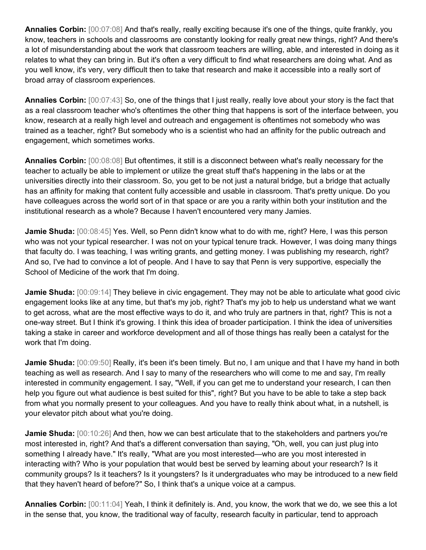**Annalies Corbin:** [00:07:08] And that's really, really exciting because it's one of the things, quite frankly, you know, teachers in schools and classrooms are constantly looking for really great new things, right? And there's a lot of misunderstanding about the work that classroom teachers are willing, able, and interested in doing as it relates to what they can bring in. But it's often a very difficult to find what researchers are doing what. And as you well know, it's very, very difficult then to take that research and make it accessible into a really sort of broad array of classroom experiences.

**Annalies Corbin:** [00:07:43] So, one of the things that I just really, really love about your story is the fact that as a real classroom teacher who's oftentimes the other thing that happens is sort of the interface between, you know, research at a really high level and outreach and engagement is oftentimes not somebody who was trained as a teacher, right? But somebody who is a scientist who had an affinity for the public outreach and engagement, which sometimes works.

**Annalies Corbin:** [00:08:08] But oftentimes, it still is a disconnect between what's really necessary for the teacher to actually be able to implement or utilize the great stuff that's happening in the labs or at the universities directly into their classroom. So, you get to be not just a natural bridge, but a bridge that actually has an affinity for making that content fully accessible and usable in classroom. That's pretty unique. Do you have colleagues across the world sort of in that space or are you a rarity within both your institution and the institutional research as a whole? Because I haven't encountered very many Jamies.

**Jamie Shuda:** [00:08:45] Yes. Well, so Penn didn't know what to do with me, right? Here, I was this person who was not your typical researcher. I was not on your typical tenure track. However, I was doing many things that faculty do. I was teaching, I was writing grants, and getting money. I was publishing my research, right? And so, I've had to convince a lot of people. And I have to say that Penn is very supportive, especially the School of Medicine of the work that I'm doing.

**Jamie Shuda:** [00:09:14] They believe in civic engagement. They may not be able to articulate what good civic engagement looks like at any time, but that's my job, right? That's my job to help us understand what we want to get across, what are the most effective ways to do it, and who truly are partners in that, right? This is not a one-way street. But I think it's growing. I think this idea of broader participation. I think the idea of universities taking a stake in career and workforce development and all of those things has really been a catalyst for the work that I'm doing.

**Jamie Shuda:** [00:09:50] Really, it's been it's been timely. But no, I am unique and that I have my hand in both teaching as well as research. And I say to many of the researchers who will come to me and say, I'm really interested in community engagement. I say, "Well, if you can get me to understand your research, I can then help you figure out what audience is best suited for this", right? But you have to be able to take a step back from what you normally present to your colleagues. And you have to really think about what, in a nutshell, is your elevator pitch about what you're doing.

**Jamie Shuda:** [00:10:26] And then, how we can best articulate that to the stakeholders and partners you're most interested in, right? And that's a different conversation than saying, "Oh, well, you can just plug into something I already have." It's really, "What are you most interested—who are you most interested in interacting with? Who is your population that would best be served by learning about your research? Is it community groups? Is it teachers? Is it youngsters? Is it undergraduates who may be introduced to a new field that they haven't heard of before?" So, I think that's a unique voice at a campus.

**Annalies Corbin:** [00:11:04] Yeah, I think it definitely is. And, you know, the work that we do, we see this a lot in the sense that, you know, the traditional way of faculty, research faculty in particular, tend to approach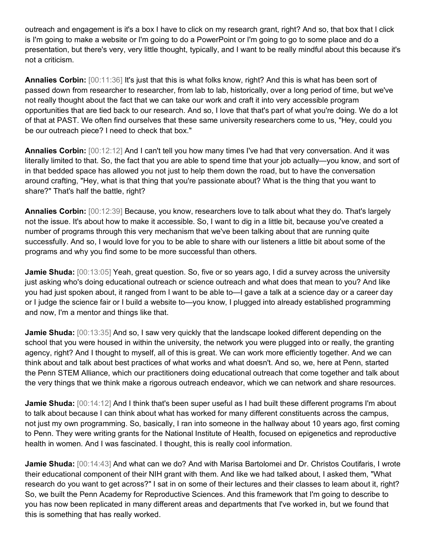outreach and engagement is it's a box I have to click on my research grant, right? And so, that box that I click is I'm going to make a website or I'm going to do a PowerPoint or I'm going to go to some place and do a presentation, but there's very, very little thought, typically, and I want to be really mindful about this because it's not a criticism.

**Annalies Corbin:** [00:11:36] It's just that this is what folks know, right? And this is what has been sort of passed down from researcher to researcher, from lab to lab, historically, over a long period of time, but we've not really thought about the fact that we can take our work and craft it into very accessible program opportunities that are tied back to our research. And so, I love that that's part of what you're doing. We do a lot of that at PAST. We often find ourselves that these same university researchers come to us, "Hey, could you be our outreach piece? I need to check that box."

**Annalies Corbin:** [00:12:12] And I can't tell you how many times I've had that very conversation. And it was literally limited to that. So, the fact that you are able to spend time that your job actually—you know, and sort of in that bedded space has allowed you not just to help them down the road, but to have the conversation around crafting, "Hey, what is that thing that you're passionate about? What is the thing that you want to share?" That's half the battle, right?

**Annalies Corbin:** [00:12:39] Because, you know, researchers love to talk about what they do. That's largely not the issue. It's about how to make it accessible. So, I want to dig in a little bit, because you've created a number of programs through this very mechanism that we've been talking about that are running quite successfully. And so, I would love for you to be able to share with our listeners a little bit about some of the programs and why you find some to be more successful than others.

**Jamie Shuda:** [00:13:05] Yeah, great question. So, five or so years ago, I did a survey across the university just asking who's doing educational outreach or science outreach and what does that mean to you? And like you had just spoken about, it ranged from I want to be able to—I gave a talk at a science day or a career day or I judge the science fair or I build a website to—you know, I plugged into already established programming and now, I'm a mentor and things like that.

**Jamie Shuda:** [00:13:35] And so, I saw very quickly that the landscape looked different depending on the school that you were housed in within the university, the network you were plugged into or really, the granting agency, right? And I thought to myself, all of this is great. We can work more efficiently together. And we can think about and talk about best practices of what works and what doesn't. And so, we, here at Penn, started the Penn STEM Alliance, which our practitioners doing educational outreach that come together and talk about the very things that we think make a rigorous outreach endeavor, which we can network and share resources.

**Jamie Shuda:** [00:14:12] And I think that's been super useful as I had built these different programs I'm about to talk about because I can think about what has worked for many different constituents across the campus, not just my own programming. So, basically, I ran into someone in the hallway about 10 years ago, first coming to Penn. They were writing grants for the National Institute of Health, focused on epigenetics and reproductive health in women. And I was fascinated. I thought, this is really cool information.

**Jamie Shuda:** [00:14:43] And what can we do? And with Marisa Bartolomei and Dr. Christos Coutifaris, I wrote their educational component of their NIH grant with them. And like we had talked about, I asked them, "What research do you want to get across?" I sat in on some of their lectures and their classes to learn about it, right? So, we built the Penn Academy for Reproductive Sciences. And this framework that I'm going to describe to you has now been replicated in many different areas and departments that I've worked in, but we found that this is something that has really worked.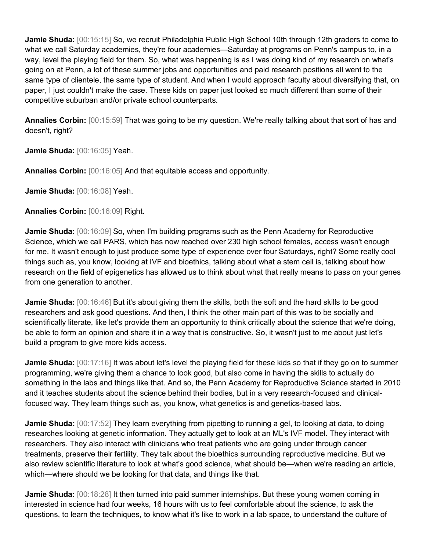**Jamie Shuda:** [00:15:15] So, we recruit Philadelphia Public High School 10th through 12th graders to come to what we call Saturday academies, they're four academies—Saturday at programs on Penn's campus to, in a way, level the playing field for them. So, what was happening is as I was doing kind of my research on what's going on at Penn, a lot of these summer jobs and opportunities and paid research positions all went to the same type of clientele, the same type of student. And when I would approach faculty about diversifying that, on paper, I just couldn't make the case. These kids on paper just looked so much different than some of their competitive suburban and/or private school counterparts.

**Annalies Corbin:** [00:15:59] That was going to be my question. We're really talking about that sort of has and doesn't, right?

**Jamie Shuda:** [00:16:05] Yeah.

**Annalies Corbin:** [00:16:05] And that equitable access and opportunity.

**Jamie Shuda:** [00:16:08] Yeah.

**Annalies Corbin:** [00:16:09] Right.

**Jamie Shuda:** [00:16:09] So, when I'm building programs such as the Penn Academy for Reproductive Science, which we call PARS, which has now reached over 230 high school females, access wasn't enough for me. It wasn't enough to just produce some type of experience over four Saturdays, right? Some really cool things such as, you know, looking at IVF and bioethics, talking about what a stem cell is, talking about how research on the field of epigenetics has allowed us to think about what that really means to pass on your genes from one generation to another.

**Jamie Shuda:** [00:16:46] But it's about giving them the skills, both the soft and the hard skills to be good researchers and ask good questions. And then, I think the other main part of this was to be socially and scientifically literate, like let's provide them an opportunity to think critically about the science that we're doing, be able to form an opinion and share it in a way that is constructive. So, it wasn't just to me about just let's build a program to give more kids access.

**Jamie Shuda:** [00:17:16] It was about let's level the playing field for these kids so that if they go on to summer programming, we're giving them a chance to look good, but also come in having the skills to actually do something in the labs and things like that. And so, the Penn Academy for Reproductive Science started in 2010 and it teaches students about the science behind their bodies, but in a very research-focused and clinicalfocused way. They learn things such as, you know, what genetics is and genetics-based labs.

**Jamie Shuda:** [00:17:52] They learn everything from pipetting to running a gel, to looking at data, to doing researches looking at genetic information. They actually get to look at an ML's IVF model. They interact with researchers. They also interact with clinicians who treat patients who are going under through cancer treatments, preserve their fertility. They talk about the bioethics surrounding reproductive medicine. But we also review scientific literature to look at what's good science, what should be—when we're reading an article, which—where should we be looking for that data, and things like that.

**Jamie Shuda:** [00:18:28] It then turned into paid summer internships. But these young women coming in interested in science had four weeks, 16 hours with us to feel comfortable about the science, to ask the questions, to learn the techniques, to know what it's like to work in a lab space, to understand the culture of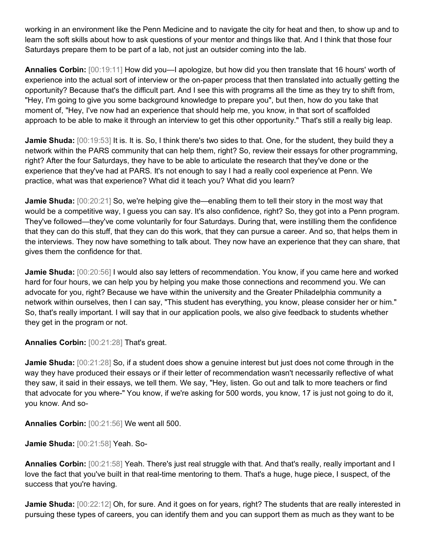working in an environment like the Penn Medicine and to navigate the city for heat and then, to show up and to learn the soft skills about how to ask questions of your mentor and things like that. And I think that those four Saturdays prepare them to be part of a lab, not just an outsider coming into the lab.

**Annalies Corbin:** [00:19:11] How did you—I apologize, but how did you then translate that 16 hours' worth of experience into the actual sort of interview or the on-paper process that then translated into actually getting the opportunity? Because that's the difficult part. And I see this with programs all the time as they try to shift from, "Hey, I'm going to give you some background knowledge to prepare you", but then, how do you take that moment of, "Hey, I've now had an experience that should help me, you know, in that sort of scaffolded approach to be able to make it through an interview to get this other opportunity." That's still a really big leap.

**Jamie Shuda:** [00:19:53] It is. It is. So, I think there's two sides to that. One, for the student, they build they a network within the PARS community that can help them, right? So, review their essays for other programming, right? After the four Saturdays, they have to be able to articulate the research that they've done or the experience that they've had at PARS. It's not enough to say I had a really cool experience at Penn. We practice, what was that experience? What did it teach you? What did you learn?

**Jamie Shuda:**  $[00:20:21]$  So, we're helping give the—enabling them to tell their story in the most way that would be a competitive way, I guess you can say. It's also confidence, right? So, they got into a Penn program. They've followed—they've come voluntarily for four Saturdays. During that, were instilling them the confidence that they can do this stuff, that they can do this work, that they can pursue a career. And so, that helps them in the interviews. They now have something to talk about. They now have an experience that they can share, that gives them the confidence for that.

**Jamie Shuda:** [00:20:56] I would also say letters of recommendation. You know, if you came here and worked hard for four hours, we can help you by helping you make those connections and recommend you. We can advocate for you, right? Because we have within the university and the Greater Philadelphia community a network within ourselves, then I can say, "This student has everything, you know, please consider her or him." So, that's really important. I will say that in our application pools, we also give feedback to students whether they get in the program or not.

**Annalies Corbin:** [00:21:28] That's great.

**Jamie Shuda:**  $[00:21:28]$  So, if a student does show a genuine interest but just does not come through in the way they have produced their essays or if their letter of recommendation wasn't necessarily reflective of what they saw, it said in their essays, we tell them. We say, "Hey, listen. Go out and talk to more teachers or find that advocate for you where-" You know, if we're asking for 500 words, you know, 17 is just not going to do it, you know. And so-

**Annalies Corbin:** [00:21:56] We went all 500.

**Jamie Shuda:** [00:21:58] Yeah. So-

**Annalies Corbin:** [00:21:58] Yeah. There's just real struggle with that. And that's really, really important and I love the fact that you've built in that real-time mentoring to them. That's a huge, huge piece, I suspect, of the success that you're having.

**Jamie Shuda:** [00:22:12] Oh, for sure. And it goes on for years, right? The students that are really interested in pursuing these types of careers, you can identify them and you can support them as much as they want to be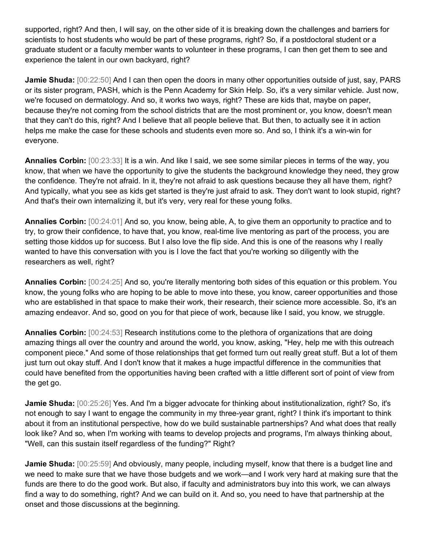supported, right? And then, I will say, on the other side of it is breaking down the challenges and barriers for scientists to host students who would be part of these programs, right? So, if a postdoctoral student or a graduate student or a faculty member wants to volunteer in these programs, I can then get them to see and experience the talent in our own backyard, right?

**Jamie Shuda:** [00:22:50] And I can then open the doors in many other opportunities outside of just, say, PARS or its sister program, PASH, which is the Penn Academy for Skin Help. So, it's a very similar vehicle. Just now, we're focused on dermatology. And so, it works two ways, right? These are kids that, maybe on paper, because they're not coming from the school districts that are the most prominent or, you know, doesn't mean that they can't do this, right? And I believe that all people believe that. But then, to actually see it in action helps me make the case for these schools and students even more so. And so, I think it's a win-win for everyone.

**Annalies Corbin:** [00:23:33] It is a win. And like I said, we see some similar pieces in terms of the way, you know, that when we have the opportunity to give the students the background knowledge they need, they grow the confidence. They're not afraid. In it, they're not afraid to ask questions because they all have them, right? And typically, what you see as kids get started is they're just afraid to ask. They don't want to look stupid, right? And that's their own internalizing it, but it's very, very real for these young folks.

**Annalies Corbin:** [00:24:01] And so, you know, being able, A, to give them an opportunity to practice and to try, to grow their confidence, to have that, you know, real-time live mentoring as part of the process, you are setting those kiddos up for success. But I also love the flip side. And this is one of the reasons why I really wanted to have this conversation with you is I love the fact that you're working so diligently with the researchers as well, right?

**Annalies Corbin:** [00:24:25] And so, you're literally mentoring both sides of this equation or this problem. You know, the young folks who are hoping to be able to move into these, you know, career opportunities and those who are established in that space to make their work, their research, their science more accessible. So, it's an amazing endeavor. And so, good on you for that piece of work, because like I said, you know, we struggle.

**Annalies Corbin:** [00:24:53] Research institutions come to the plethora of organizations that are doing amazing things all over the country and around the world, you know, asking, "Hey, help me with this outreach component piece." And some of those relationships that get formed turn out really great stuff. But a lot of them just turn out okay stuff. And I don't know that it makes a huge impactful difference in the communities that could have benefited from the opportunities having been crafted with a little different sort of point of view from the get go.

**Jamie Shuda:** [00:25:26] Yes. And I'm a bigger advocate for thinking about institutionalization, right? So, it's not enough to say I want to engage the community in my three-year grant, right? I think it's important to think about it from an institutional perspective, how do we build sustainable partnerships? And what does that really look like? And so, when I'm working with teams to develop projects and programs, I'm always thinking about, "Well, can this sustain itself regardless of the funding?" Right?

**Jamie Shuda:** [00:25:59] And obviously, many people, including myself, know that there is a budget line and we need to make sure that we have those budgets and we work—and I work very hard at making sure that the funds are there to do the good work. But also, if faculty and administrators buy into this work, we can always find a way to do something, right? And we can build on it. And so, you need to have that partnership at the onset and those discussions at the beginning.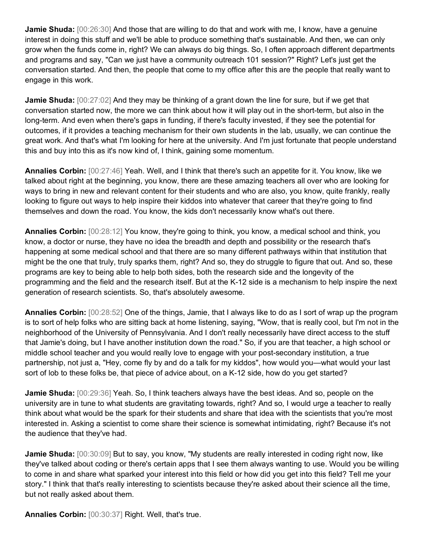**Jamie Shuda:** [00:26:30] And those that are willing to do that and work with me, I know, have a genuine interest in doing this stuff and we'll be able to produce something that's sustainable. And then, we can only grow when the funds come in, right? We can always do big things. So, I often approach different departments and programs and say, "Can we just have a community outreach 101 session?" Right? Let's just get the conversation started. And then, the people that come to my office after this are the people that really want to engage in this work.

**Jamie Shuda:**  $[00:27:02]$  And they may be thinking of a grant down the line for sure, but if we get that conversation started now, the more we can think about how it will play out in the short-term, but also in the long-term. And even when there's gaps in funding, if there's faculty invested, if they see the potential for outcomes, if it provides a teaching mechanism for their own students in the lab, usually, we can continue the great work. And that's what I'm looking for here at the university. And I'm just fortunate that people understand this and buy into this as it's now kind of, I think, gaining some momentum.

**Annalies Corbin:** [00:27:46] Yeah. Well, and I think that there's such an appetite for it. You know, like we talked about right at the beginning, you know, there are these amazing teachers all over who are looking for ways to bring in new and relevant content for their students and who are also, you know, quite frankly, really looking to figure out ways to help inspire their kiddos into whatever that career that they're going to find themselves and down the road. You know, the kids don't necessarily know what's out there.

**Annalies Corbin:** [00:28:12] You know, they're going to think, you know, a medical school and think, you know, a doctor or nurse, they have no idea the breadth and depth and possibility or the research that's happening at some medical school and that there are so many different pathways within that institution that might be the one that truly, truly sparks them, right? And so, they do struggle to figure that out. And so, these programs are key to being able to help both sides, both the research side and the longevity of the programming and the field and the research itself. But at the K-12 side is a mechanism to help inspire the next generation of research scientists. So, that's absolutely awesome.

**Annalies Corbin:** [00:28:52] One of the things, Jamie, that I always like to do as I sort of wrap up the program is to sort of help folks who are sitting back at home listening, saying, "Wow, that is really cool, but I'm not in the neighborhood of the University of Pennsylvania. And I don't really necessarily have direct access to the stuff that Jamie's doing, but I have another institution down the road." So, if you are that teacher, a high school or middle school teacher and you would really love to engage with your post-secondary institution, a true partnership, not just a, "Hey, come fly by and do a talk for my kiddos", how would you—what would your last sort of lob to these folks be, that piece of advice about, on a K-12 side, how do you get started?

**Jamie Shuda:** [00:29:36] Yeah. So, I think teachers always have the best ideas. And so, people on the university are in tune to what students are gravitating towards, right? And so, I would urge a teacher to really think about what would be the spark for their students and share that idea with the scientists that you're most interested in. Asking a scientist to come share their science is somewhat intimidating, right? Because it's not the audience that they've had.

Jamie Shuda: [00:30:09] But to say, you know, "My students are really interested in coding right now, like they've talked about coding or there's certain apps that I see them always wanting to use. Would you be willing to come in and share what sparked your interest into this field or how did you get into this field? Tell me your story." I think that that's really interesting to scientists because they're asked about their science all the time, but not really asked about them.

**Annalies Corbin:** [00:30:37] Right. Well, that's true.